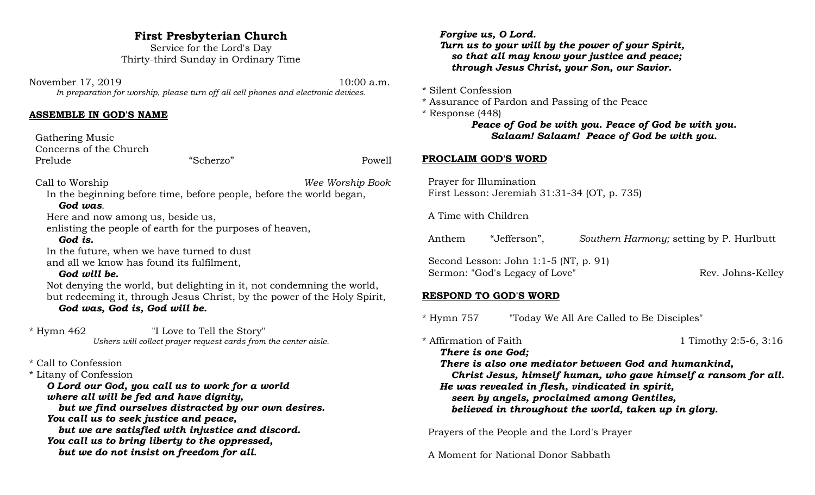# **First Presbyterian Church**

Service for the Lord's Day Thirty-third Sunday in Ordinary Time

November 17, 2019 10:00 a.m. *In preparation for worship, please turn off all cell phones and electronic devices.*

#### **ASSEMBLE IN GOD'S NAME**

 Gathering Music Concerns of the Church Prelude "Scherzo" Powell

Call to Worship *Wee Worship Book*

In the beginning before time, before people, before the world began, *God was.*

Here and now among us, beside us,

enlisting the people of earth for the purposes of heaven,

## *God is.*

In the future, when we have turned to dust and all we know has found its fulfilment,

## *God will be.*

Not denying the world, but delighting in it, not condemning the world, but redeeming it, through Jesus Christ, by the power of the Holy Spirit, *God was, God is, God will be.* 

\* Hymn 462 "I Love to Tell the Story" *Ushers will collect prayer request cards from the center aisle.*

\* Call to Confession

\* Litany of Confession

*O Lord our God, you call us to work for a world where all will be fed and have dignity, but we find ourselves distracted by our own desires. You call us to seek justice and peace, but we are satisfied with injustice and discord. You call us to bring liberty to the oppressed, but we do not insist on freedom for all.*

*Forgive us, O Lord. Turn us to your will by the power of your Spirit, so that all may know your justice and peace; through Jesus Christ, your Son, our Savior.*

\* Silent Confession

\* Assurance of Pardon and Passing of the Peace

\* Response (448)

# *Peace of God be with you. Peace of God be with you. Salaam! Salaam! Peace of God be with you.*

## **PROCLAIM GOD'S WORD**

 Prayer for Illumination First Lesson: Jeremiah 31:31-34 (OT, p. 735)

A Time with Children

Anthem "Jefferson", *Southern Harmony;* setting by P. Hurlbutt

 Second Lesson: John 1:1-5 (NT, p. 91) Sermon: "God's Legacy of Love" Rev. Johns-Kelley

## **RESPOND TO GOD'S WORD**

\* Hymn 757 "Today We All Are Called to Be Disciples"

\* Affirmation of Faith 1 Timothy 2:5-6, 3:16

*There is one God; There is also one mediator between God and humankind, Christ Jesus, himself human, who gave himself a ransom for all. He was revealed in flesh, vindicated in spirit, seen by angels, proclaimed among Gentiles, believed in throughout the world, taken up in glory.*

Prayers of the People and the Lord's Prayer

A Moment for National Donor Sabbath